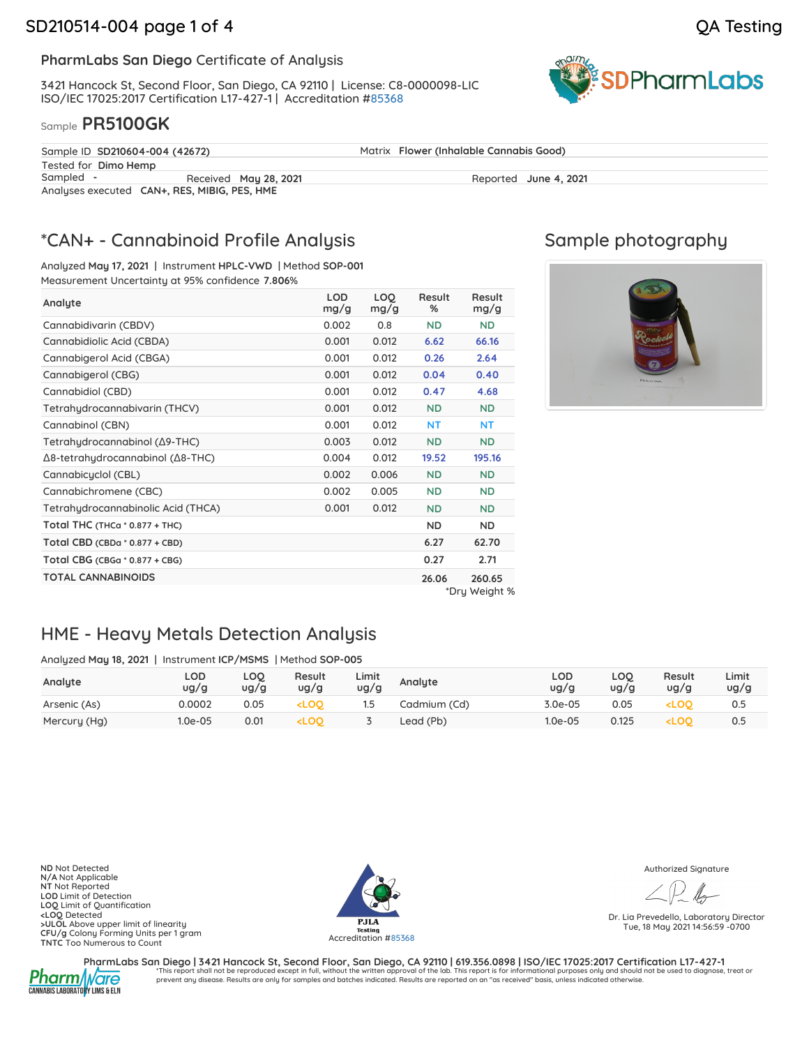**SDPharmLabs** 

### **PharmLabs San Diego** Certificate of Analysis

3421 Hancock St, Second Floor, San Diego, CA 92110 | License: C8-0000098-LIC ISO/IEC 17025:2017 Certification L17-427-1 | Accreditation [#85368](https://www.dropbox.com/s/1a5w6sneiswem52/L20-89-1%20PharmLabs%20San%20Diego.pdf?dl=0)

### Sample **PR5100GK**

| Sample ID SD210604-004 (42672)               |                       | Matrix Flower (Inhalable Cannabis Good) |  |  |  |  |
|----------------------------------------------|-----------------------|-----------------------------------------|--|--|--|--|
| Tested for Dimo Hemp                         |                       |                                         |  |  |  |  |
| Sampled -                                    | Received May 28, 2021 | Reported June 4, 2021                   |  |  |  |  |
| Analyses executed CAN+, RES, MIBIG, PES, HME |                       |                                         |  |  |  |  |

# \*CAN+ - Cannabinoid Profile Analysis

Analyzed **May 17, 2021** | Instrument **HPLC-VWD** | Method **SOP-001** Measurement Uncertainty at 95% confidence **7.806**%

| Analyte                            | <b>LOD</b><br>mg/g | LOO.<br>mg/g | Result<br>% | Result<br>mg/g |
|------------------------------------|--------------------|--------------|-------------|----------------|
| Cannabidivarin (CBDV)              | 0.002              | 0.8          | <b>ND</b>   | <b>ND</b>      |
| Cannabidiolic Acid (CBDA)          | 0.001              | 0.012        | 6.62        | 66.16          |
| Cannabigerol Acid (CBGA)           | 0.001              | 0.012        | 0.26        | 2.64           |
| Cannabigerol (CBG)                 | 0.001              | 0.012        | 0.04        | 0.40           |
| Cannabidiol (CBD)                  | 0.001              | 0.012        | 0.47        | 4.68           |
| Tetrahydrocannabivarin (THCV)      | 0.001              | 0.012        | <b>ND</b>   | ND.            |
| Cannabinol (CBN)                   | 0.001              | 0.012        | <b>NT</b>   | <b>NT</b>      |
| Tetrahydrocannabinol (Δ9-THC)      | 0.003              | 0.012        | <b>ND</b>   | <b>ND</b>      |
| Δ8-tetrahydrocannabinol (Δ8-THC)   | 0.004              | 0.012        | 19.52       | 195.16         |
| Cannabicuclol (CBL)                | 0.002              | 0.006        | <b>ND</b>   | <b>ND</b>      |
| Cannabichromene (CBC)              | 0.002              | 0.005        | <b>ND</b>   | <b>ND</b>      |
| Tetrahydrocannabinolic Acid (THCA) | 0.001              | 0.012        | <b>ND</b>   | <b>ND</b>      |
| Total THC (THCa $*$ 0.877 + THC)   |                    |              | <b>ND</b>   | ND.            |
| Total CBD (CBDa * 0.877 + CBD)     |                    |              | 6.27        | 62.70          |
| Total CBG (CBGa $*$ 0.877 + CBG)   |                    |              | 0.27        | 2.71           |
| <b>TOTAL CANNABINOIDS</b>          |                    |              | 26.06       | 260.65         |
|                                    |                    |              |             | *Dru Waight %  |

# Sample photography



\*Dry Weight %

# HME - Heavy Metals Detection Analysis

Analyzed **May 18, 2021** | Instrument **ICP/MSMS** | Method **SOP-005**

| Analyte      | LOD<br>ug/g | LOQ<br>ug/g | Result<br>ug/g                                                                                                                    | Limit<br>ug/g | Analyte      | LOD<br>ug/g | LOQ<br>ug/g | Result<br>ug/g                  | Limit<br>ug/g |
|--------------|-------------|-------------|-----------------------------------------------------------------------------------------------------------------------------------|---------------|--------------|-------------|-------------|---------------------------------|---------------|
| Arsenic (As) | 0.0002      | 0.05        | <b><loo< b=""></loo<></b>                                                                                                         |               | Cadmium (Cd) | 3.0e-05     | 0.05        | <loo< td=""><td>0.5</td></loo<> | 0.5           |
| Mercury (Hg) | 1.0e-05     | 0.01        | <loq< td=""><td></td><td>Lead (Pb)</td><td><math>1.0e-05</math></td><td>0.125</td><td><loo< td=""><td>0.5</td></loo<></td></loq<> |               | Lead (Pb)    | $1.0e-05$   | 0.125       | <loo< td=""><td>0.5</td></loo<> | 0.5           |

**ND** Not Detected **N/A** Not Applicable **NT** Not Reported **LOD** Limit of Detection **LOQ** Limit of Quantification **<LOQ** Detected **>ULOL** Above upper limit of linearity **CFU/g** Colony Forming Units per 1 gram<br>**TNTC** Too Numerous to Count Accreditation #85368



Authorized Signature

Dr. Lia Prevedello, Laboratory Director Tue, 18 May 2021 14:56:59 -0700



**PharmLabs San Diego | 3421 Hancock St, Second Floor, San Diego, CA 92110 | 619.356.0898 | ISO/IEC 17025:2017 Certification L17-427-1** \*This report shall not be reproduced except in full, without the written approval of the lab. This report is for informational purposes only and should not be used to diagnose, treat or prevent any disease. Results are only for samples and batches indicated. Results are reported on an "as received" basis, unless indicated otherwise.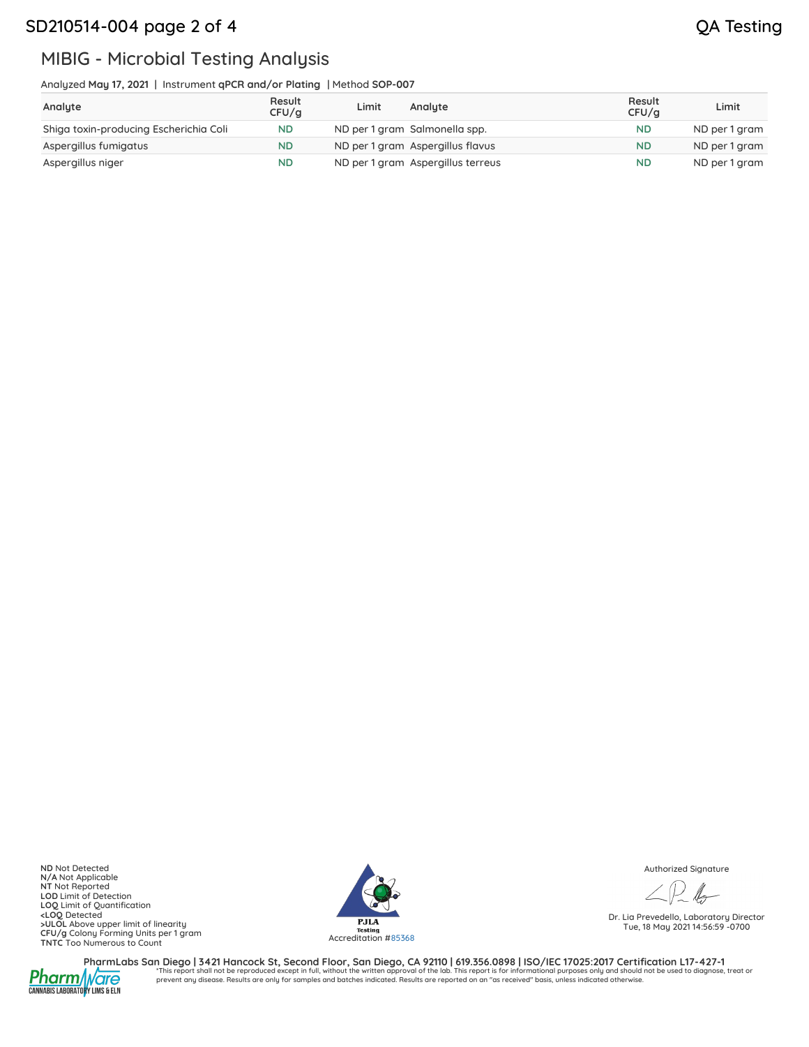## SD210514-004 page 2 of 4 QA Testing

# MIBIG - Microbial Testing Analysis

Analyzed **May 17, 2021** | Instrument **qPCR and/or Plating** | Method **SOP-007**

| Analyte                                | Result<br>CFU/a | Limit | Analyte                           | Result<br>CFU/q | Limit         |
|----------------------------------------|-----------------|-------|-----------------------------------|-----------------|---------------|
| Shiga toxin-producing Escherichia Coli | <b>ND</b>       |       | ND per 1 gram Salmonella spp.     | <b>ND</b>       | ND per 1 gram |
| Aspergillus fumigatus                  | <b>ND</b>       |       | ND per 1 gram Aspergillus flavus  | <b>ND</b>       | ND per 1 gram |
| Aspergillus niger                      | <b>ND</b>       |       | ND per 1 gram Aspergillus terreus | <b>ND</b>       | ND per 1 gram |

**ND** Not Detected **N/A** Not Applicable **NT** Not Reported LOD Limit of Detection<br>
LOQ Limit of Quantification<br>
20 Octobre - ULOL Above upper limit of linearity<br>
CFU/g Colony Forming Units per 1 gram<br>
TNTC Too Numerous to Count<br>
20 Octobre - The Count of March 2011<br>
20 Accreditati



Authorized Signature

Dr. Lia Prevedello, Laboratory Director Tue, 18 May 2021 14:56:59 -0700



PharmLabs San Diego | 3421 Hancock St, Second Floor, San Diego, CA 92110 | 619.356.0898 | ISO/IEC 17025:2017 Certification L17-427-1<br>1. A harm this report shall not be reproduced except in full, without the written approva prevent any disease. Results are only for samples and batches indicated. Results are reported on an "as received" basis, unless indicated otherwise.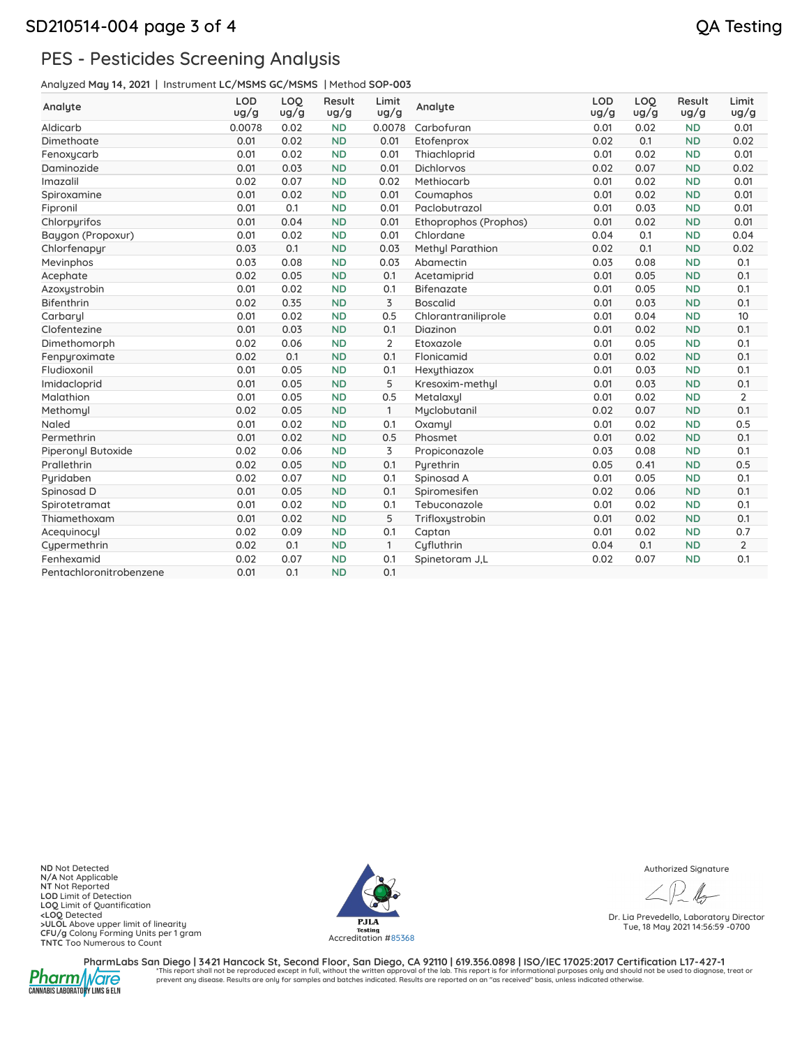## SD210514-004 page 3 of 4 QA Testing

# PES - Pesticides Screening Analysis

Analyzed **May 14, 2021** | Instrument **LC/MSMS GC/MSMS** | Method **SOP-003**

| Analyte                 | <b>LOD</b><br>ug/g | LOO<br>ug/g | Result<br>ug/g | Limit<br>ug/g  | Analyte                 | <b>LOD</b><br>ug/g | LOQ<br>ug/g | Result<br>ug/g | Limit<br>ug/g  |
|-------------------------|--------------------|-------------|----------------|----------------|-------------------------|--------------------|-------------|----------------|----------------|
| Aldicarb                | 0.0078             | 0.02        | <b>ND</b>      | 0.0078         | Carbofuran              | 0.01               | 0.02        | <b>ND</b>      | 0.01           |
| Dimethoate              | 0.01               | 0.02        | <b>ND</b>      | 0.01           | Etofenprox              | 0.02               | 0.1         | <b>ND</b>      | 0.02           |
| Fenoxycarb              | 0.01               | 0.02        | <b>ND</b>      | 0.01           | Thiachloprid            | 0.01               | 0.02        | <b>ND</b>      | 0.01           |
| Daminozide              | 0.01               | 0.03        | <b>ND</b>      | 0.01           | <b>Dichlorvos</b>       | 0.02               | 0.07        | <b>ND</b>      | 0.02           |
| Imazalil                | 0.02               | 0.07        | <b>ND</b>      | 0.02           | Methiocarb              | 0.01               | 0.02        | <b>ND</b>      | 0.01           |
| Spiroxamine             | 0.01               | 0.02        | <b>ND</b>      | 0.01           | Coumaphos               | 0.01               | 0.02        | <b>ND</b>      | 0.01           |
| Fipronil                | 0.01               | 0.1         | <b>ND</b>      | 0.01           | Paclobutrazol           | 0.01               | 0.03        | <b>ND</b>      | 0.01           |
| Chlorpyrifos            | 0.01               | 0.04        | <b>ND</b>      | 0.01           | Ethoprophos (Prophos)   | 0.01               | 0.02        | <b>ND</b>      | 0.01           |
| Baygon (Propoxur)       | 0.01               | 0.02        | <b>ND</b>      | 0.01           | Chlordane               | 0.04               | 0.1         | <b>ND</b>      | 0.04           |
| Chlorfenapyr            | 0.03               | 0.1         | <b>ND</b>      | 0.03           | <b>Methyl Parathion</b> | 0.02               | 0.1         | <b>ND</b>      | 0.02           |
| Mevinphos               | 0.03               | 0.08        | <b>ND</b>      | 0.03           | Abamectin               | 0.03               | 0.08        | <b>ND</b>      | 0.1            |
| Acephate                | 0.02               | 0.05        | <b>ND</b>      | 0.1            | Acetamiprid             | 0.01               | 0.05        | <b>ND</b>      | 0.1            |
| Azoxystrobin            | 0.01               | 0.02        | <b>ND</b>      | 0.1            | Bifenazate              | 0.01               | 0.05        | <b>ND</b>      | 0.1            |
| <b>Bifenthrin</b>       | 0.02               | 0.35        | <b>ND</b>      | $\overline{3}$ | <b>Boscalid</b>         | 0.01               | 0.03        | <b>ND</b>      | 0.1            |
| Carbarul                | 0.01               | 0.02        | <b>ND</b>      | 0.5            | Chlorantraniliprole     | 0.01               | 0.04        | <b>ND</b>      | 10             |
| Clofentezine            | 0.01               | 0.03        | <b>ND</b>      | 0.1            | Diazinon                | 0.01               | 0.02        | <b>ND</b>      | 0.1            |
| Dimethomorph            | 0.02               | 0.06        | <b>ND</b>      | $\overline{2}$ | Etoxazole               | 0.01               | 0.05        | <b>ND</b>      | 0.1            |
| Fenpyroximate           | 0.02               | 0.1         | <b>ND</b>      | 0.1            | Flonicamid              | 0.01               | 0.02        | <b>ND</b>      | 0.1            |
| Fludioxonil             | 0.01               | 0.05        | <b>ND</b>      | 0.1            | Hexythiazox             | 0.01               | 0.03        | <b>ND</b>      | 0.1            |
| Imidacloprid            | 0.01               | 0.05        | <b>ND</b>      | 5              | Kresoxim-methyl         | 0.01               | 0.03        | <b>ND</b>      | 0.1            |
| Malathion               | 0.01               | 0.05        | <b>ND</b>      | 0.5            | Metalaxyl               | 0.01               | 0.02        | <b>ND</b>      | $\overline{2}$ |
| Methomyl                | 0.02               | 0.05        | <b>ND</b>      | $\mathbf{1}$   | Myclobutanil            | 0.02               | 0.07        | <b>ND</b>      | 0.1            |
| Naled                   | 0.01               | 0.02        | <b>ND</b>      | 0.1            | Oxamyl                  | 0.01               | 0.02        | <b>ND</b>      | 0.5            |
| Permethrin              | 0.01               | 0.02        | <b>ND</b>      | 0.5            | Phosmet                 | 0.01               | 0.02        | <b>ND</b>      | 0.1            |
| Piperonyl Butoxide      | 0.02               | 0.06        | <b>ND</b>      | 3              | Propiconazole           | 0.03               | 0.08        | <b>ND</b>      | 0.1            |
| Prallethrin             | 0.02               | 0.05        | <b>ND</b>      | 0.1            | Pyrethrin               | 0.05               | 0.41        | <b>ND</b>      | 0.5            |
| Pyridaben               | 0.02               | 0.07        | <b>ND</b>      | 0.1            | Spinosad A              | 0.01               | 0.05        | <b>ND</b>      | 0.1            |
| Spinosad D              | 0.01               | 0.05        | <b>ND</b>      | 0.1            | Spiromesifen            | 0.02               | 0.06        | <b>ND</b>      | 0.1            |
| Spirotetramat           | 0.01               | 0.02        | <b>ND</b>      | 0.1            | Tebuconazole            | 0.01               | 0.02        | <b>ND</b>      | 0.1            |
| Thiamethoxam            | 0.01               | 0.02        | <b>ND</b>      | 5              | Trifloxystrobin         | 0.01               | 0.02        | <b>ND</b>      | 0.1            |
| Acequinocyl             | 0.02               | 0.09        | <b>ND</b>      | 0.1            | Captan                  | 0.01               | 0.02        | <b>ND</b>      | 0.7            |
| Cypermethrin            | 0.02               | 0.1         | <b>ND</b>      | $\mathbf{1}$   | Cufluthrin              | 0.04               | 0.1         | <b>ND</b>      | 2              |
| Fenhexamid              | 0.02               | 0.07        | <b>ND</b>      | 0.1            | Spinetoram J.L          | 0.02               | 0.07        | <b>ND</b>      | 0.1            |
| Pentachloronitrobenzene | 0.01               | 0.1         | <b>ND</b>      | 0.1            |                         |                    |             |                |                |

**ND** Not Detected **N/A** Not Applicable **NT** Not Reported LOD Limit of Detection<br>
LOQ Limit of Quantification<br>
20 Octobre - ULOL Above upper limit of linearity<br>
CFU/g Colony Forming Units per 1 gram<br>
TNTC Too Numerous to Count<br>
20 Octobre - The Count of March 2011<br>
20 Accreditati



Authorized Signature

Dr. Lia Prevedello, Laboratory Director Tue, 18 May 2021 14:56:59 -0700



PharmLabs San Diego | 3421 Hancock St, Second Floor, San Diego, CA 92110 | 619.356.0898 | ISO/IEC 17025:2017 Certification L17-427-1<br>1. A harm this report shall not be reproduced except in full, without the written approva prevent any disease. Results are only for samples and batches indicated. Results are reported on an "as received" basis, unless indicated otherwise.